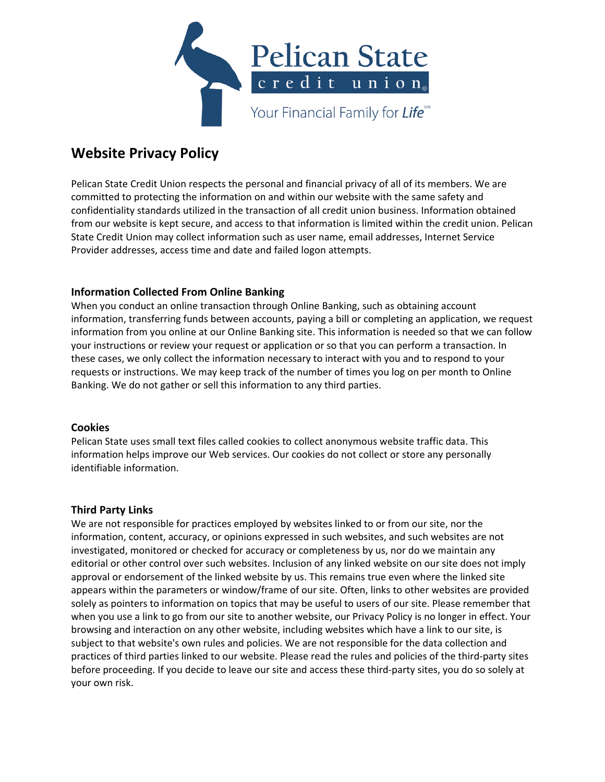

# **Website Privacy Policy**

Pelican State Credit Union respects the personal and financial privacy of all of its members. We are committed to protecting the information on and within our website with the same safety and confidentiality standards utilized in the transaction of all credit union business. Information obtained from our website is kept secure, and access to that information is limited within the credit union. Pelican State Credit Union may collect information such as user name, email addresses, Internet Service Provider addresses, access time and date and failed logon attempts.

# **Information Collected From Online Banking**

When you conduct an online transaction through Online Banking, such as obtaining account information, transferring funds between accounts, paying a bill or completing an application, we request information from you online at our Online Banking site. This information is needed so that we can follow your instructions or review your request or application or so that you can perform a transaction. In these cases, we only collect the information necessary to interact with you and to respond to your requests or instructions. We may keep track of the number of times you log on per month to Online Banking. We do not gather or sell this information to any third parties.

# **Cookies**

Pelican State uses small text files called cookies to collect anonymous website traffic data. This information helps improve our Web services. Our cookies do not collect or store any personally identifiable information.

# **Third Party Links**

We are not responsible for practices employed by websites linked to or from our site, nor the information, content, accuracy, or opinions expressed in such websites, and such websites are not investigated, monitored or checked for accuracy or completeness by us, nor do we maintain any editorial or other control over such websites. Inclusion of any linked website on our site does not imply approval or endorsement of the linked website by us. This remains true even where the linked site appears within the parameters or window/frame of our site. Often, links to other websites are provided solely as pointers to information on topics that may be useful to users of our site. Please remember that when you use a link to go from our site to another website, our Privacy Policy is no longer in effect. Your browsing and interaction on any other website, including websites which have a link to our site, is subject to that website's own rules and policies. We are not responsible for the data collection and practices of third parties linked to our website. Please read the rules and policies of the third‐party sites before proceeding. If you decide to leave our site and access these third-party sites, you do so solely at your own risk.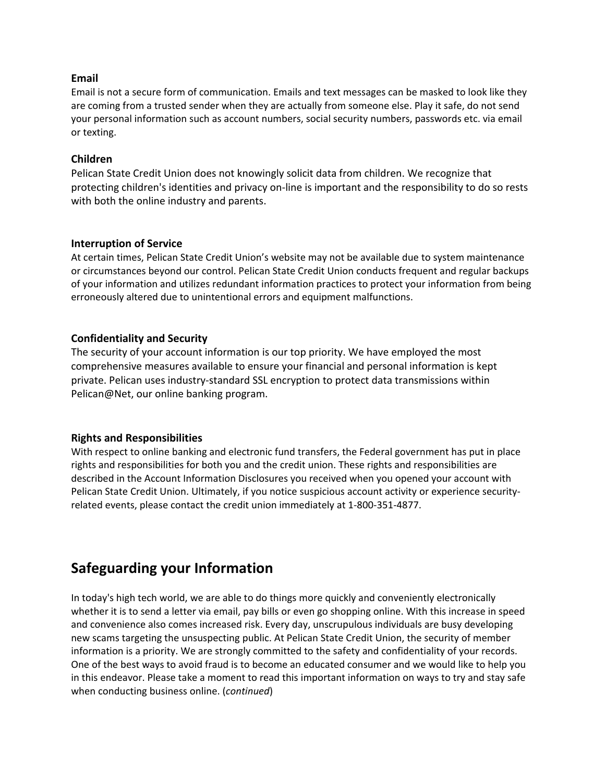#### **Email**

Email is not a secure form of communication. Emails and text messages can be masked to look like they are coming from a trusted sender when they are actually from someone else. Play it safe, do not send your personal information such as account numbers, social security numbers, passwords etc. via email or texting.

#### **Children**

Pelican State Credit Union does not knowingly solicit data from children. We recognize that protecting children's identities and privacy on‐line is important and the responsibility to do so rests with both the online industry and parents.

#### **Interruption of Service**

At certain times, Pelican State Credit Union's website may not be available due to system maintenance or circumstances beyond our control. Pelican State Credit Union conducts frequent and regular backups of your information and utilizes redundant information practices to protect your information from being erroneously altered due to unintentional errors and equipment malfunctions.

#### **Confidentiality and Security**

The security of your account information is our top priority. We have employed the most comprehensive measures available to ensure your financial and personal information is kept private. Pelican uses industry‐standard SSL encryption to protect data transmissions within Pelican@Net, our online banking program.

#### **Rights and Responsibilities**

With respect to online banking and electronic fund transfers, the Federal government has put in place rights and responsibilities for both you and the credit union. These rights and responsibilities are described in the Account Information Disclosures you received when you opened your account with Pelican State Credit Union. Ultimately, if you notice suspicious account activity or experience security‐ related events, please contact the credit union immediately at 1‐800‐351‐4877.

# **Safeguarding your Information**

In today's high tech world, we are able to do things more quickly and conveniently electronically whether it is to send a letter via email, pay bills or even go shopping online. With this increase in speed and convenience also comes increased risk. Every day, unscrupulous individuals are busy developing new scams targeting the unsuspecting public. At Pelican State Credit Union, the security of member information is a priority. We are strongly committed to the safety and confidentiality of your records. One of the best ways to avoid fraud is to become an educated consumer and we would like to help you in this endeavor. Please take a moment to read this important information on ways to try and stay safe when conducting business online. (*continued*)